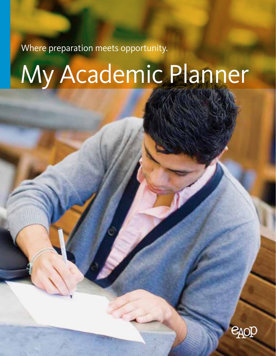Where preparation meets opportunity.

# My Academic Planner

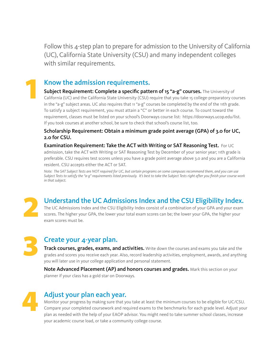Follow this 4-step plan to prepare for admission to the University of California (UC), California State University (CSU) and many independent colleges with similar requirements.

### Know the admission requirements.

Subject Requirement: Complete a specific pattern of 15 "a-g" courses. The University of California (UC) and the California State University (CSU) require that you take 15 college-preparatory courses in the "a-g" subject areas. UC also requires that 11 "a-g" courses be completed by the end of the 11th grade. To satisfy a subject requirement, you must attain a "C" or better in each course. To count toward the requirement, classes must be listed on your school's Doorways course list: https://doorways.ucop.edu/list. If you took courses at another school, be sure to check that school's course list, too.

Scholarship Requirement: Obtain a minimum grade point average (GPA) of 3.0 for UC, 2.0 for CSU.

Examination Requirement: Take the ACT with Writing or SAT Reasoning Test. For UC admission, take the ACT with Writing or SAT Reasoning Test by December of your senior year; 11th grade is preferable. CSU requires test scores unless you have a grade point average above 3.0 and you are a California resident. CSU accepts either the ACT or SAT.

*Note: The SAT Subject Tests are NOT required for UC, but certain programs on some campuses recommend them, and you can use Subject Tests to satisfy the "a-g" requirements listed previously. It's best to take the Subject Tests right after you finish your course work in that subject.*

Understand the UC Admissions Index and the CSU Eligibility Index.

The UC Admissions Index and the CSU Eligibility Index consist of a combination of your GPA and your exam **SPARED SCORE SCORE SCORE SCORE IS A SCORE SCORE IS A SCORE IS ON THE UC Admissions Index and the CSU Eligibility Index consist of a combination of your GPA and your exam scores. The higher your GPA, the lower your total e** exam scores must be.

### Create your 4-year plan.

Track courses, grades, exams, and activities. Write down the courses and exams you take and the grades and scores you receive each year. Also, record leadership activities, employment, awards, and anything you will later use in your college application and personal statement.

Note Advanced Placement (AP) and honors courses and grades. Mark this section on your planner if your class has a gold star on Doorways.

# 4

3

1

### Adjust your plan each year.

Monitor your progress by making sure that you take at least the minimum courses to be eligible for UC/CSU. Compare your completed coursework and required exams to the benchmarks for each grade level. Adjust your plan as needed with the help of your EAOP advisor. You might need to take summer school classes, increase your academic course load, or take a community college course.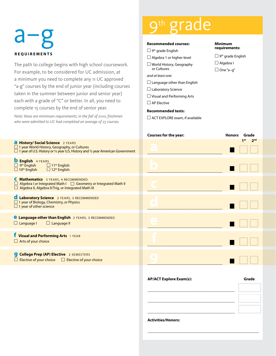#### th grad **Recommended courses:**  $\Box$  9<sup>th</sup> grade English  $\Box$  Algebra 1 or higher-level ☐ World History, Geography or Cultures *and at least one:*  $\Box$  Language other than English ☐ Laboratory Science ☐ Visual and Performing Arts  $\square$  AP Elective **Recommended tests:** ☐ ACT EXPLORE exam, if available **Courses for the year: Honors Grade 1st** 2<sup>nd</sup> \_\_\_\_\_\_\_\_\_\_\_\_\_\_\_\_\_\_\_\_\_\_\_\_\_\_\_\_\_\_\_\_\_\_\_\_\_ ☐ ☐ ☐ \_\_\_\_\_\_\_\_\_\_\_\_\_\_\_\_\_\_\_\_\_\_\_\_\_\_\_\_\_\_\_\_\_\_\_\_\_ ☐ ☐ ☐  $\_$   $\_$   $\_$   $\_$   $\_$   $\_$   $\_$ \_\_\_\_\_\_\_\_\_\_\_\_\_\_\_\_\_\_\_\_\_\_\_\_\_\_\_\_\_\_\_\_\_\_\_\_\_ ☐ ☐ ☐ \_\_\_\_\_\_\_\_\_\_\_\_\_\_\_\_\_\_\_\_\_\_\_\_\_\_\_\_\_\_\_\_\_\_\_\_\_ ☐ ☐ ☐ \_\_\_\_\_\_\_\_\_\_\_\_\_\_\_\_\_\_\_\_\_\_\_\_\_\_\_\_\_\_\_\_\_\_\_\_\_ ☐ ☐ ☐ \_\_\_\_\_\_\_\_\_\_\_\_\_\_\_\_\_\_\_\_\_\_\_\_\_\_\_\_\_\_\_\_\_\_\_\_\_ ☐ ☐ ☐ **Minimum requirements:**  $\Box$  9<sup>th</sup> grade English □ Algebra I ☐ One "a–g" a–g **REQUIREMENTS a** History/ Social Science 2 YEARS ☐ 1 year World History, Geography, *or* Cultures ☐ 1 year of U.S. History *or* ½ year U.S. History and ½ year American Government **b** English 4 YEARS  $\Box$  9<sup>th</sup> English  $\Box$  11<sup>th</sup> English  $\Box$  10<sup>th</sup> English  $\Box$  12<sup>th</sup> English c **Mathematics** 3 years, 4 recommendeD ☐ Algebra I *or* Integrated Math I ☐ Geometry *or* Integrated Math II ☐ Algebra II, Algebra II/Trig, *or* Integrated Math III d **Laboratory Science** 2 years, 3 recommended ☐ 1 year of Biology, Chemistry, *or* Physics  $\square$  1 year of other science **e** Language other than English 2 YEARS, 3 RECOMMENDED  $\Box$  Language I  $\Box$  Language II f **Visual and Performing Arts** 1 year  $\Box$  Arts of your choice **g** College Prep (AP) Elective 2 SEMESTERS ☐ Elective of your choice ☐ Elective of your choice The path to college begins with high school coursework. For example, to be considered for UC admission, at a minimum you need to complete any 11 UC approved "a-g" courses by the end of junior year (including courses taken in the summer between junior and senior year) each with a grade of "C" or better. In all, you need to complete 15 courses by the end of senior year. *Note: these are minimum requirements; in the fall of 2010, freshmen who were admitted to UC had completed an average of 23 courses.* **b c d**

**AP/ACT Explore Exam(s): Grade**

\_\_\_\_\_\_\_\_\_\_\_\_\_\_\_\_\_\_\_\_\_\_\_\_\_\_\_\_\_\_\_\_\_\_\_\_\_\_\_\_\_\_\_\_\_\_\_\_\_\_\_\_\_\_\_

\_\_\_\_\_\_\_\_\_\_\_\_\_\_\_\_\_\_\_\_\_\_\_\_\_\_\_\_\_\_\_\_\_\_\_\_\_\_\_\_\_\_\_

\_\_\_\_\_\_\_\_\_\_\_\_\_\_\_\_\_\_\_\_\_\_\_\_\_\_\_\_\_\_\_\_\_\_\_\_\_\_\_\_\_\_\_

\_\_\_\_\_\_\_\_\_\_\_\_\_\_\_\_\_\_\_\_\_\_\_\_\_\_\_\_\_\_\_\_\_\_\_\_\_\_\_\_\_\_\_

**Activities/Honors:**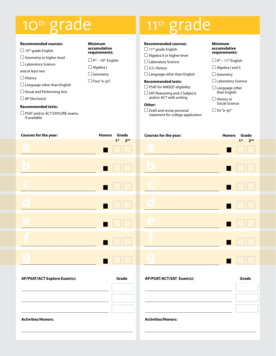## 10<sup>th</sup> grade

#### **Recommended courses:**  $\Box$  10<sup>th</sup> grade English  $\Box$  Geometry or higher-level ☐ Laboratory Science *and at least two:* □ History  $\Box$  Language other than English ☐ Visual and Performing Arts  $\Box$  AP Elective(s) **Recommended tests:** □ PSAT and/or ACT EXPLORE exams, if available **Minimum accumulative requirements:**  $\Box$  9<sup>th</sup> – 10<sup>th</sup> English □ Algebra I □ Geometry ☐ Four "a–g's" **Recommended courses:**  $\Box$  11<sup>th</sup> grade English  $\Box$  Algebra II or higher-level ☐ Laboratory Science  $\Box$  U.S. History  $\Box$  Language other than English **Recommended tests:** ☐ PSAT for NMSQT eligibility  $\Box$  SAT Reasoning and 2 Subjects and/or ACT with writing **Other:**  $\Box$  Draft and revise personal statement for college application **Minimum accumulative requirements:**  $\Box$  9<sup>th</sup> – 11<sup>th</sup> English □ Algebra I and II □ Geometry ☐ Laboratory Science  $\Box$  Language other than English ☐ History or Social Science  $\Box$  Six "a-q's"

| Courses for the year: | Honors Grade                                               | Courses for the year:   | Honors Grade   |
|-----------------------|------------------------------------------------------------|-------------------------|----------------|
| q                     | $1st$ $2nd$<br>$\blacksquare$<br><b>The Contract State</b> | <b>TEN</b>              | $1st$ $2nd$    |
|                       | $\blacksquare$                                             | $\mathbf{O}$            | $\blacksquare$ |
|                       | $\blacksquare$ $\square$ $\square$                         |                         | $\blacksquare$ |
| O                     | $\blacksquare$                                             | $\overline{\mathbf{Q}}$ |                |
| G                     | $\blacksquare$                                             | $\mathbf{C}$            |                |
|                       | $\blacksquare$                                             |                         |                |
|                       |                                                            |                         |                |

| <b>AP/PSAT/ACT Explore Exam(s):</b> | Grade |
|-------------------------------------|-------|
|                                     |       |
|                                     |       |
|                                     |       |
| <b>Activities/Honors:</b>           |       |

\_\_\_\_\_\_\_\_\_\_\_\_\_\_\_\_\_\_\_\_\_\_\_\_\_\_\_\_\_\_\_\_\_\_\_\_\_\_\_\_\_\_\_\_\_\_\_\_\_\_\_\_\_\_\_

| AP/PSAT/ACT/SAT Exam(s):  | Grade |
|---------------------------|-------|
|                           |       |
|                           |       |
|                           |       |
|                           |       |
| <b>Activities/Honors:</b> |       |

\_\_\_\_\_\_\_\_\_\_\_\_\_\_\_\_\_\_\_\_\_\_\_\_\_\_\_\_\_\_\_\_\_\_\_\_\_\_\_\_\_\_\_\_\_\_\_\_\_\_\_\_\_\_\_

## 11<sup>th</sup> grade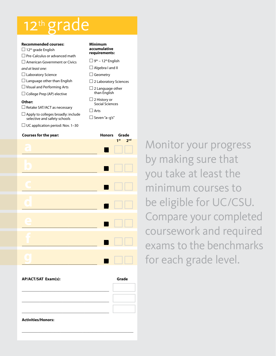### 12th grade

| <b>Recommended courses:</b>                                               | <b>Minimum</b>                               |  |
|---------------------------------------------------------------------------|----------------------------------------------|--|
| $\Box$ 12 <sup>th</sup> grade English                                     | accumulativ                                  |  |
| $\Box$ Pre-Calculus or advanced math                                      | requiremen                                   |  |
| $\Box$ American Government or Civics                                      | $\Box$ 9 <sup>th</sup> – 12 <sup>th</sup> Er |  |
| and at least one:                                                         | $\Box$ Algebra I a                           |  |
| $\Box$ Laboratory Science                                                 | $\Box$ Geometry                              |  |
| $\Box$ Language other than English                                        | $\Box$ 2 Laborato                            |  |
| $\Box$ Visual and Performing Arts                                         | $\Box$ 2 Languag                             |  |
| $\Box$ College Prep (AP) elective                                         | than Englis                                  |  |
| Other:                                                                    | $\Box$ 2 History o<br>Social Scie            |  |
| $\Box$ Retake SAT/ACT as necessary                                        | $\Box$ Arts                                  |  |
| $\Box$ Apply to colleges broadly: include<br>selective and safety schools | □ Seven "a–g                                 |  |

 $\Box$  UC application period: Nov. 1-30

### **accumulative**

### **nts:**

☐ 9th – 12th English and II

- 
- ory Sciences
- ge other  $\tilde{\mathsf{lish}}$
- ☐ 2 History or ences

 $q's''$ 

| <b>Courses for the year:</b> |         | Honors Grade                       |
|------------------------------|---------|------------------------------------|
| $\bullet$                    |         | 2 <sub>nd</sub><br>1 <sup>st</sup> |
| $\bullet$                    | I<br>m. |                                    |
|                              | I<br>٠  |                                    |
|                              | $\Box$  |                                    |
| Ä<br>÷                       | Ī<br>n  |                                    |
|                              | I       |                                    |
|                              |         |                                    |

| <b>AP/ACT/SAT Exam(s):</b> | Grade |
|----------------------------|-------|
|                            |       |
|                            |       |
|                            |       |
| <b>Activities/Honors:</b>  |       |
|                            |       |

Monitor your progress by making sure that you take at least the minimum courses to be eligible for UC/CSU. Compare your completed coursework and required exams to the benchmarks for each grade level.